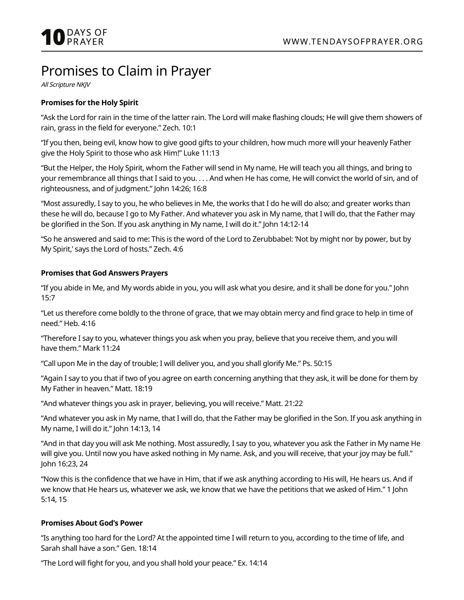# Promises to Claim in Prayer

All Scripture NKJV

# **Promises for the Holy Spirit**

"Ask the Lord for rain in the time of the latter rain. The Lord will make flashing clouds; He will give them showers of rain, grass in the field for everyone." Zech. 10:1

"If you then, being evil, know how to give good gifts to your children, how much more will your heavenly Father give the Holy Spirit to those who ask Him!" Luke 11:13

"But the Helper, the Holy Spirit, whom the Father will send in My name, He will teach you all things, and bring to your remembrance all things that I said to you. . . . And when He has come, He will convict the world of sin, and of righteousness, and of judgment." John 14:26; 16:8

"Most assuredly, I say to you, he who believes in Me, the works that I do he will do also; and greater works than these he will do, because I go to My Father. And whatever you ask in My name, that I will do, that the Father may be glorified in the Son. If you ask anything in My name, I will do it." John 14:12-14

"So he answered and said to me: This is the word of the Lord to Zerubbabel: 'Not by might nor by power, but by My Spirit,' says the Lord of hosts." Zech. 4:6

#### **Promises that God Answers Prayers**

"If you abide in Me, and My words abide in you, you will ask what you desire, and it shall be done for you." John 15:7

"Let us therefore come boldly to the throne of grace, that we may obtain mercy and find grace to help in time of need." Heb. 4:16

"Therefore I say to you, whatever things you ask when you pray, believe that you receive them, and you will have them." Mark 11:24

"Call upon Me in the day of trouble; I will deliver you, and you shall glorify Me." Ps. 50:15

"Again I say to you that if two of you agree on earth concerning anything that they ask, it will be done for them by My Father in heaven." Matt. 18:19

"And whatever things you ask in prayer, believing, you will receive." Matt. 21:22

"And whatever you ask in My name, that I will do, that the Father may be glorified in the Son. If you ask anything in My name, I will do it." John 14:13, 14

"And in that day you will ask Me nothing. Most assuredly, I say to you, whatever you ask the Father in My name He will give you. Until now you have asked nothing in My name. Ask, and you will receive, that your joy may be full." John 16:23, 24

"Now this is the confidence that we have in Him, that if we ask anything according to His will, He hears us. And if we know that He hears us, whatever we ask, we know that we have the petitions that we asked of Him." 1 John 5:14, 15

#### **Promises About God's Power**

"Is anything too hard for the Lord? At the appointed time I will return to you, according to the time of life, and Sarah shall have a son." Gen. 18:14

"The Lord will fight for you, and you shall hold your peace." Ex. 14:14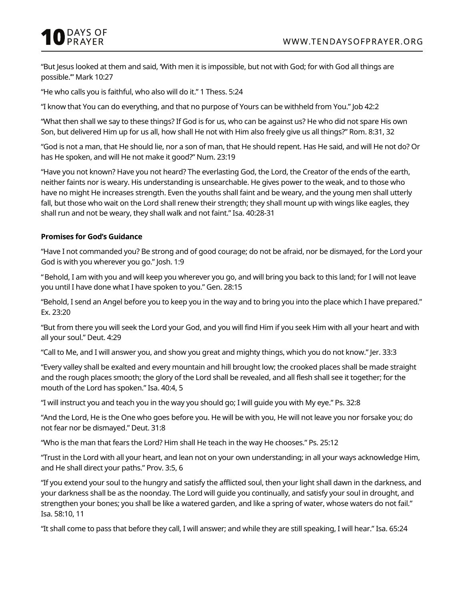"But Jesus looked at them and said, 'With men it is impossible, but not with God; for with God all things are possible.'" Mark 10:27

"He who calls you is faithful, who also will do it." 1 Thess. 5:24

"I know that You can do everything, and that no purpose of Yours can be withheld from You." Job 42:2

"What then shall we say to these things? If God is for us, who can be against us? He who did not spare His own Son, but delivered Him up for us all, how shall He not with Him also freely give us all things?" Rom. 8:31, 32

"God is not a man, that He should lie, nor a son of man, that He should repent. Has He said, and will He not do? Or has He spoken, and will He not make it good?" Num. 23:19

"Have you not known? Have you not heard? The everlasting God, the Lord, the Creator of the ends of the earth, neither faints nor is weary. His understanding is unsearchable. He gives power to the weak, and to those who have no might He increases strength. Even the youths shall faint and be weary, and the young men shall utterly fall, but those who wait on the Lord shall renew their strength; they shall mount up with wings like eagles, they shall run and not be weary, they shall walk and not faint." Isa. 40:28-31

## **Promises for God's Guidance**

"Have I not commanded you? Be strong and of good courage; do not be afraid, nor be dismayed, for the Lord your God is with you wherever you go." Josh. 1:9

"Behold, I am with you and will keep you wherever you go, and will bring you back to this land; for I will not leave you until I have done what I have spoken to you." Gen. 28:15

"Behold, I send an Angel before you to keep you in the way and to bring you into the place which I have prepared." Ex. 23:20

"But from there you will seek the Lord your God, and you will find Him if you seek Him with all your heart and with all your soul." Deut. 4:29

"Call to Me, and I will answer you, and show you great and mighty things, which you do not know." Jer. 33:3

"Every valley shall be exalted and every mountain and hill brought low; the crooked places shall be made straight and the rough places smooth; the glory of the Lord shall be revealed, and all flesh shall see it together; for the mouth of the Lord has spoken." Isa. 40:4, 5

"I will instruct you and teach you in the way you should go; I will guide you with My eye." Ps. 32:8

"And the Lord, He is the One who goes before you. He will be with you, He will not leave you nor forsake you; do not fear nor be dismayed." Deut. 31:8

"Who is the man that fears the Lord? Him shall He teach in the way He chooses." Ps. 25:12

"Trust in the Lord with all your heart, and lean not on your own understanding; in all your ways acknowledge Him, and He shall direct your paths." Prov. 3:5, 6

"If you extend your soul to the hungry and satisfy the afflicted soul, then your light shall dawn in the darkness, and your darkness shall be as the noonday. The Lord will guide you continually, and satisfy your soul in drought, and strengthen your bones; you shall be like a watered garden, and like a spring of water, whose waters do not fail." Isa. 58:10, 11

"It shall come to pass that before they call, I will answer; and while they are still speaking, I will hear." Isa. 65:24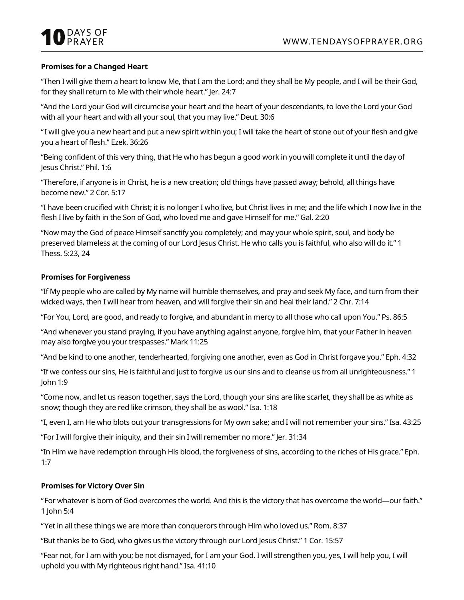# **Promises for a Changed Heart**

"Then I will give them a heart to know Me, that I am the Lord; and they shall be My people, and I will be their God, for they shall return to Me with their whole heart." Jer. 24:7

"And the Lord your God will circumcise your heart and the heart of your descendants, to love the Lord your God with all your heart and with all your soul, that you may live." Deut. 30:6

"I will give you a new heart and put a new spirit within you; I will take the heart of stone out of your flesh and give you a heart of flesh." Ezek. 36:26

"Being confident of this very thing, that He who has begun a good work in you will complete it until the day of Jesus Christ." Phil. 1:6

"Therefore, if anyone is in Christ, he is a new creation; old things have passed away; behold, all things have become new." 2 Cor. 5:17

"I have been crucified with Christ; it is no longer I who live, but Christ lives in me; and the life which I now live in the flesh I live by faith in the Son of God, who loved me and gave Himself for me." Gal. 2:20

"Now may the God of peace Himself sanctify you completely; and may your whole spirit, soul, and body be preserved blameless at the coming of our Lord Jesus Christ. He who calls you is faithful, who also will do it." 1 Thess. 5:23, 24

#### **Promises for Forgiveness**

"If My people who are called by My name will humble themselves, and pray and seek My face, and turn from their wicked ways, then I will hear from heaven, and will forgive their sin and heal their land." 2 Chr. 7:14

"For You, Lord, are good, and ready to forgive, and abundant in mercy to all those who call upon You." Ps. 86:5

"And whenever you stand praying, if you have anything against anyone, forgive him, that your Father in heaven may also forgive you your trespasses." Mark 11:25

"And be kind to one another, tenderhearted, forgiving one another, even as God in Christ forgave you." Eph. 4:32

"If we confess our sins, He is faithful and just to forgive us our sins and to cleanse us from all unrighteousness." 1 John 1:9

"Come now, and let us reason together, says the Lord, though your sins are like scarlet, they shall be as white as snow; though they are red like crimson, they shall be as wool." Isa. 1:18

"I, even I, am He who blots out your transgressions for My own sake; and I will not remember your sins." Isa. 43:25

"For I will forgive their iniquity, and their sin I will remember no more." Jer. 31:34

"In Him we have redemption through His blood, the forgiveness of sins, according to the riches of His grace." Eph. 1:7

# **Promises for Victory Over Sin**

"For whatever is born of God overcomes the world. And this is the victory that has overcome the world—our faith." 1 John 5:4

"Yet in all these things we are more than conquerors through Him who loved us." Rom. 8:37

"But thanks be to God, who gives us the victory through our Lord Jesus Christ." 1 Cor. 15:57

"Fear not, for I am with you; be not dismayed, for I am your God. I will strengthen you, yes, I will help you, I will uphold you with My righteous right hand." Isa. 41:10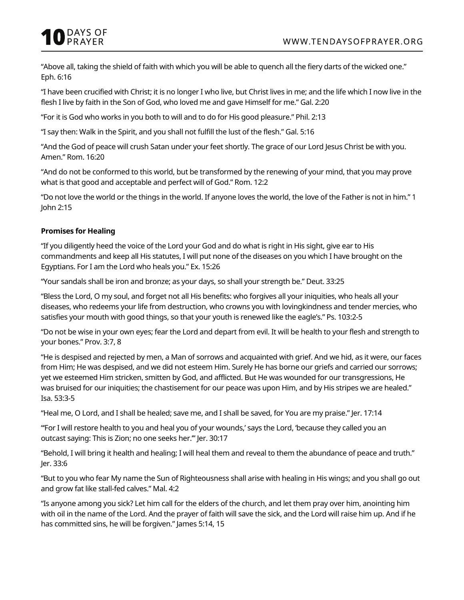"Above all, taking the shield of faith with which you will be able to quench all the fiery darts of the wicked one." Eph. 6:16

"I have been crucified with Christ; it is no longer I who live, but Christ lives in me; and the life which I now live in the flesh I live by faith in the Son of God, who loved me and gave Himself for me." Gal. 2:20

"For it is God who works in you both to will and to do for His good pleasure." Phil. 2:13

"I say then: Walk in the Spirit, and you shall not fulfill the lust of the flesh." Gal. 5:16

"And the God of peace will crush Satan under your feet shortly. The grace of our Lord Jesus Christ be with you. Amen." Rom. 16:20

"And do not be conformed to this world, but be transformed by the renewing of your mind, that you may prove what is that good and acceptable and perfect will of God." Rom. 12:2

"Do not love the world or the things in the world. If anyone loves the world, the love of the Father is not in him." 1 John 2:15

# **Promises for Healing**

"If you diligently heed the voice of the Lord your God and do what is right in His sight, give ear to His commandments and keep all His statutes, I will put none of the diseases on you which I have brought on the Egyptians. For I am the Lord who heals you." Ex. 15:26

"Your sandals shall be iron and bronze; as your days, so shall your strength be." Deut. 33:25

"Bless the Lord, O my soul, and forget not all His benefits: who forgives all your iniquities, who heals all your diseases, who redeems your life from destruction, who crowns you with lovingkindness and tender mercies, who satisfies your mouth with good things, so that your youth is renewed like the eagle's." Ps. 103:2-5

"Do not be wise in your own eyes; fear the Lord and depart from evil. It will be health to your flesh and strength to your bones." Prov. 3:7, 8

"He is despised and rejected by men, a Man of sorrows and acquainted with grief. And we hid, as it were, our faces from Him; He was despised, and we did not esteem Him. Surely He has borne our griefs and carried our sorrows; yet we esteemed Him stricken, smitten by God, and afflicted. But He was wounded for our transgressions, He was bruised for our iniquities; the chastisement for our peace was upon Him, and by His stripes we are healed." Isa. 53:3-5

"Heal me, O Lord, and I shall be healed; save me, and I shall be saved, for You are my praise." Jer. 17:14

"'For I will restore health to you and heal you of your wounds,' says the Lord, 'because they called you an outcast saying: This is Zion; no one seeks her.'" Jer. 30:17

"Behold, I will bring it health and healing; I will heal them and reveal to them the abundance of peace and truth." Jer. 33:6

"But to you who fear My name the Sun of Righteousness shall arise with healing in His wings; and you shall go out and grow fat like stall-fed calves." Mal. 4:2

"Is anyone among you sick? Let him call for the elders of the church, and let them pray over him, anointing him with oil in the name of the Lord. And the prayer of faith will save the sick, and the Lord will raise him up. And if he has committed sins, he will be forgiven." James 5:14, 15